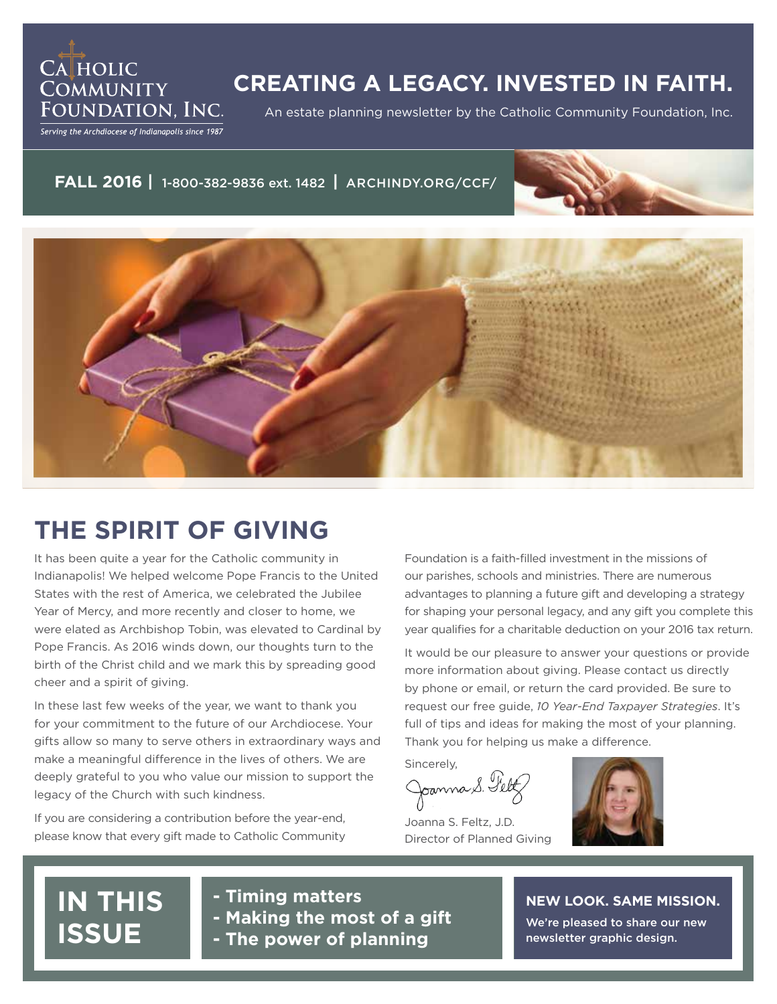

## **CREATING A LEGACY. INVESTED IN FAITH.**

An estate planning newsletter by the Catholic Community Foundation, Inc.

Serving the Archdiocese of Indianapolis since 1987

### **FALL 2016 |** 1-800-382-9836 ext. 1482 **|** ARCHINDY.ORG/CCF/





## **THE SPIRIT OF GIVING**

It has been quite a year for the Catholic community in Indianapolis! We helped welcome Pope Francis to the United States with the rest of America, we celebrated the Jubilee Year of Mercy, and more recently and closer to home, we were elated as Archbishop Tobin, was elevated to Cardinal by Pope Francis. As 2016 winds down, our thoughts turn to the birth of the Christ child and we mark this by spreading good cheer and a spirit of giving.

In these last few weeks of the year, we want to thank you for your commitment to the future of our Archdiocese. Your gifts allow so many to serve others in extraordinary ways and make a meaningful difference in the lives of others. We are deeply grateful to you who value our mission to support the legacy of the Church with such kindness.

If you are considering a contribution before the year-end, please know that every gift made to Catholic Community Foundation is a faith-filled investment in the missions of our parishes, schools and ministries. There are numerous advantages to planning a future gift and developing a strategy for shaping your personal legacy, and any gift you complete this year qualifies for a charitable deduction on your 2016 tax return.

It would be our pleasure to answer your questions or provide more information about giving. Please contact us directly by phone or email, or return the card provided. Be sure to request our free guide, *10 Year-End Taxpayer Strategies*. It's full of tips and ideas for making the most of your planning. Thank you for helping us make a difference.

Sincerely, Joanna S. Feltz

Joanna S. Feltz, J.D. Director of Planned Giving



# **IN THIS ISSUE**

**- Timing matters - Making the most of a gift - The power of planning**

### **NEW LOOK. SAME MISSION.**

We're pleased to share our new newsletter graphic design.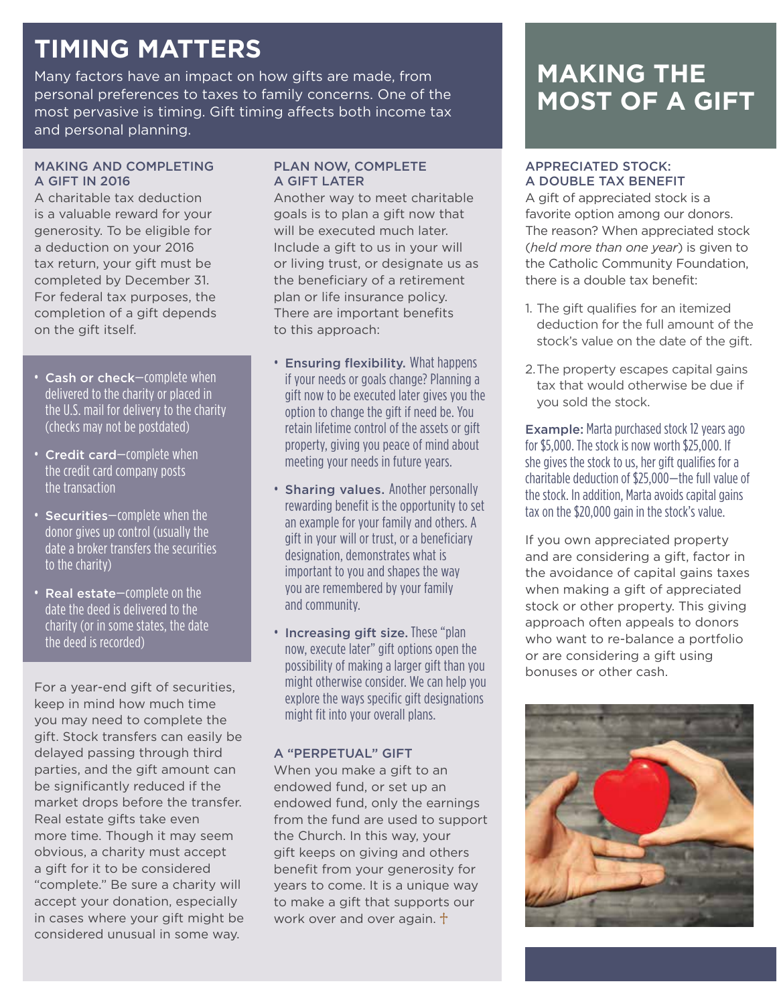# **TIMING MATTERS**

Many factors have an impact on how gifts are made, from personal preferences to taxes to family concerns. One of the most pervasive is timing. Gift timing affects both income tax and personal planning.

### MAKING AND COMPLETING A GIFT IN 2016

A charitable tax deduction is a valuable reward for your generosity. To be eligible for a deduction on your 2016 tax return, your gift must be completed by December 31. For federal tax purposes, the completion of a gift depends on the gift itself.

- Cash or check—complete when delivered to the charity or placed in the U.S. mail for delivery to the charity (checks may not be postdated)
- Credit card—complete when the credit card company posts the transaction
- Securities—complete when the donor gives up control (usually the date a broker transfers the securities to the charity)
- Real estate—complete on the date the deed is delivered to the charity (or in some states, the date the deed is recorded)

For a year-end gift of securities, keep in mind how much time you may need to complete the gift. Stock transfers can easily be delayed passing through third parties, and the gift amount can be significantly reduced if the market drops before the transfer. Real estate gifts take even more time. Though it may seem obvious, a charity must accept a gift for it to be considered "complete." Be sure a charity will accept your donation, especially in cases where your gift might be considered unusual in some way.

### PLAN NOW, COMPLETE A GIFT LATER

Another way to meet charitable goals is to plan a gift now that will be executed much later. Include a gift to us in your will or living trust, or designate us as the beneficiary of a retirement plan or life insurance policy. There are important benefits to this approach:

- Ensuring flexibility. What happens if your needs or goals change? Planning a gift now to be executed later gives you the option to change the gift if need be. You retain lifetime control of the assets or gift property, giving you peace of mind about meeting your needs in future years.
- Sharing values. Another personally rewarding benefit is the opportunity to set an example for your family and others. A gift in your will or trust, or a beneficiary designation, demonstrates what is important to you and shapes the way you are remembered by your family and community.
- Increasing gift size. These "plan now, execute later" gift options open the possibility of making a larger gift than you might otherwise consider. We can help you explore the ways specific gift designations might fit into your overall plans.

### A "PERPETUAL" GIFT

When you make a gift to an endowed fund, or set up an endowed fund, only the earnings from the fund are used to support the Church. In this way, your gift keeps on giving and others benefit from your generosity for years to come. It is a unique way to make a gift that supports our work over and over again.  $\dagger$ 

## **MAKING THE MOST OF A GIFT**

### APPRECIATED STOCK: A DOUBLE TAX BENEFIT

A gift of appreciated stock is a favorite option among our donors. The reason? When appreciated stock (*held more than one year*) is given to the Catholic Community Foundation, there is a double tax benefit:

- 1. The gift qualifies for an itemized deduction for the full amount of the stock's value on the date of the gift.
- 2.The property escapes capital gains tax that would otherwise be due if you sold the stock.

Example: Marta purchased stock 12 years ago for \$5,000. The stock is now worth \$25,000. If she gives the stock to us, her gift qualifies for a charitable deduction of \$25,000—the full value of the stock. In addition, Marta avoids capital gains tax on the \$20,000 gain in the stock's value.

If you own appreciated property and are considering a gift, factor in the avoidance of capital gains taxes when making a gift of appreciated stock or other property. This giving approach often appeals to donors who want to re-balance a portfolio or are considering a gift using bonuses or other cash.

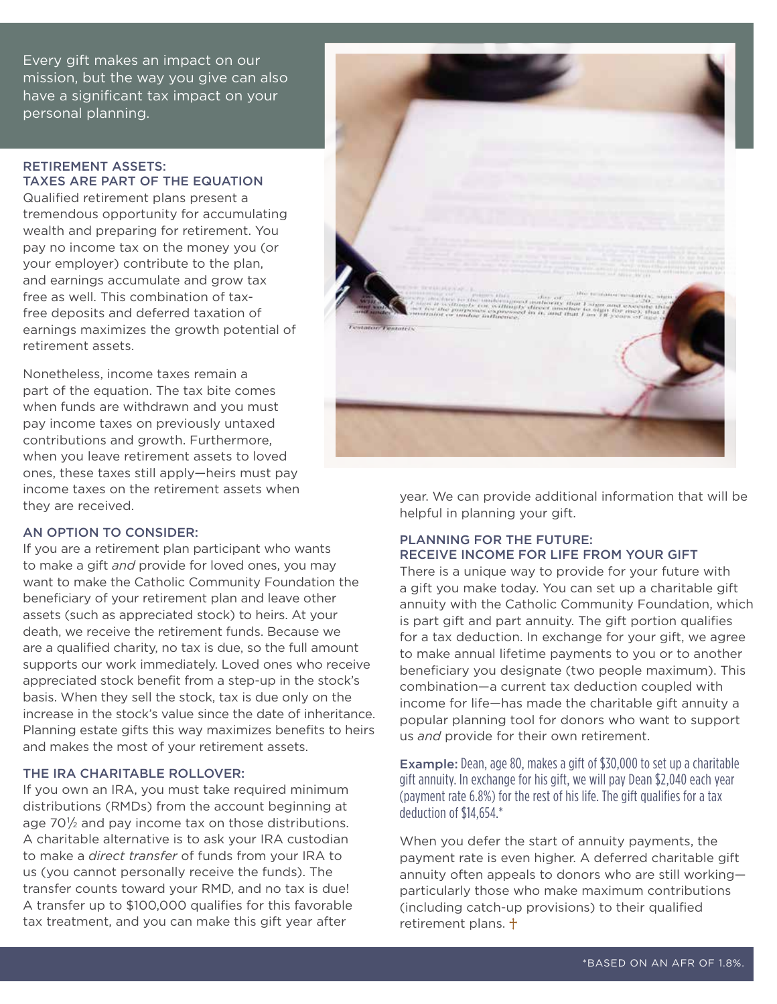Every gift makes an impact on our mission, but the way you give can also have a significant tax impact on your personal planning.

#### RETIREMENT ASSETS: TAXES ARE PART OF THE EQUATION

Qualified retirement plans present a tremendous opportunity for accumulating wealth and preparing for retirement. You pay no income tax on the money you (or your employer) contribute to the plan, and earnings accumulate and grow tax free as well. This combination of taxfree deposits and deferred taxation of earnings maximizes the growth potential of retirement assets.

Nonetheless, income taxes remain a part of the equation. The tax bite comes when funds are withdrawn and you must pay income taxes on previously untaxed contributions and growth. Furthermore, when you leave retirement assets to loved ones, these taxes still apply—heirs must pay income taxes on the retirement assets when they are received.

### AN OPTION TO CONSIDER:

If you are a retirement plan participant who wants to make a gift *and* provide for loved ones, you may want to make the Catholic Community Foundation the beneficiary of your retirement plan and leave other assets (such as appreciated stock) to heirs. At your death, we receive the retirement funds. Because we are a qualified charity, no tax is due, so the full amount supports our work immediately. Loved ones who receive appreciated stock benefit from a step-up in the stock's basis. When they sell the stock, tax is due only on the increase in the stock's value since the date of inheritance. Planning estate gifts this way maximizes benefits to heirs and makes the most of your retirement assets.

### THE IRA CHARITABLE ROLLOVER:

If you own an IRA, you must take required minimum distributions (RMDs) from the account beginning at age 70 $\frac{1}{2}$  and pay income tax on those distributions. A charitable alternative is to ask your IRA custodian to make a *direct transfer* of funds from your IRA to us (you cannot personally receive the funds). The transfer counts toward your RMD, and no tax is due! A transfer up to \$100,000 qualifies for this favorable tax treatment, and you can make this gift year after



year. We can provide additional information that will be helpful in planning your gift.

### PLANNING FOR THE FUTURE: RECEIVE INCOME FOR LIFE FROM YOUR GIFT

There is a unique way to provide for your future with a gift you make today. You can set up a charitable gift annuity with the Catholic Community Foundation, which is part gift and part annuity. The gift portion qualifies for a tax deduction. In exchange for your gift, we agree to make annual lifetime payments to you or to another beneficiary you designate (two people maximum). This combination—a current tax deduction coupled with income for life—has made the charitable gift annuity a popular planning tool for donors who want to support us *and* provide for their own retirement.

Example: Dean, age 80, makes a gift of \$30,000 to set up a charitable gift annuity. In exchange for his gift, we will pay Dean \$2,040 each year (payment rate 6.8%) for the rest of his life. The gift qualifies for a tax deduction of \$14,654.\*

When you defer the start of annuity payments, the payment rate is even higher. A deferred charitable gift annuity often appeals to donors who are still working particularly those who make maximum contributions (including catch-up provisions) to their qualified retirement plans.  $\dagger$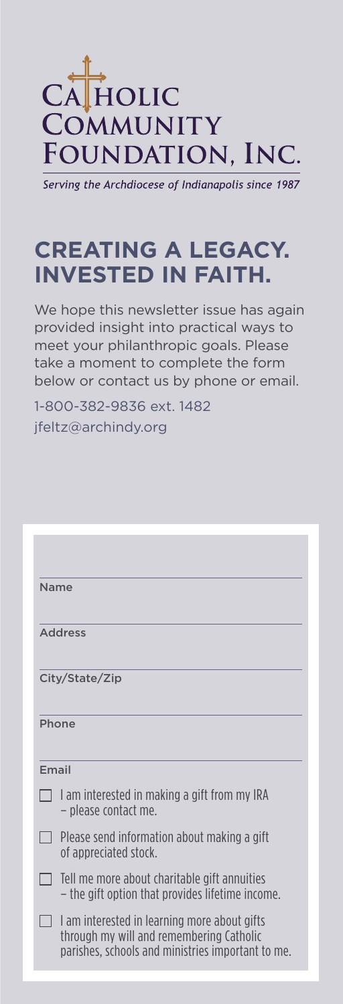

Serving the Archdiocese of Indianapolis since 1987

## **CREATING A LEGACY. INVESTED IN FAITH.**

We hope this newsletter issue has again provided insight into practical ways to meet your philanthropic goals. Please take a moment to complete the form below or contact us by phone or email.

1-800-382-9836 ext. 1482 jfeltz@archindy.org

| <b>Name</b>                                                                                                                                   |
|-----------------------------------------------------------------------------------------------------------------------------------------------|
| <b>Address</b>                                                                                                                                |
| City/State/Zip                                                                                                                                |
| Phone                                                                                                                                         |
| Email                                                                                                                                         |
| I am interested in making a gift from my IRA<br>- please contact me.                                                                          |
| Please send information about making a gift<br>of appreciated stock.                                                                          |
| Tell me more about charitable gift annuities<br>- the gift option that provides lifetime income.                                              |
| I am interested in learning more about gifts<br>through my will and remembering Catholic<br>parishes, schools and ministries important to me. |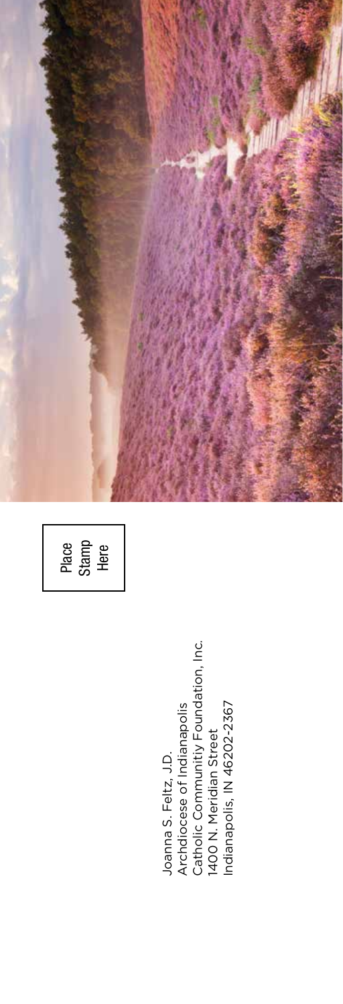Place Stamp Here

Joanna S. Feltz, J.D.<br>Archdiocese of Indianapolis<br>Catholic Communitiy Foundation, Inc.<br>1400 N. Meridian Street<br>Indianapolis, IN 46202-2367 Catholic Communitiy Foundation, Inc. Indianapolis, IN 46202-2367 Archdiocese of Indianapolis 1400 N. Meridian Street Joanna S. Feltz, J.D.